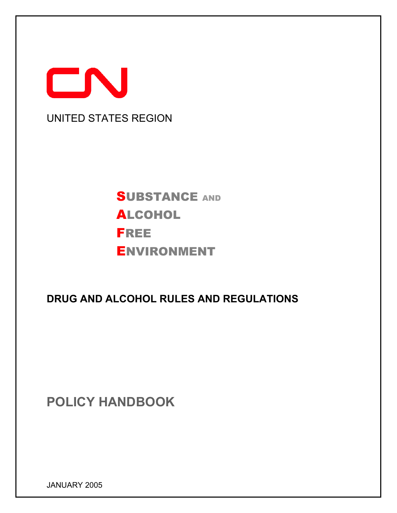

# **SUBSTANCE AND** ALCOHOL FREE ENVIRONMENT

# **DRUG AND ALCOHOL RULES AND REGULATIONS**

**POLICY HANDBOOK** 

JANUARY 2005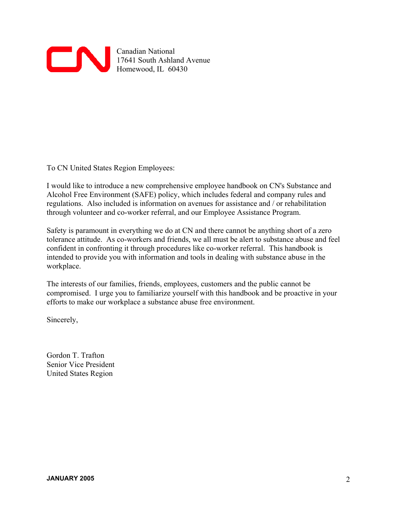

To CN United States Region Employees:

I would like to introduce a new comprehensive employee handbook on CN's Substance and Alcohol Free Environment (SAFE) policy, which includes federal and company rules and regulations. Also included is information on avenues for assistance and / or rehabilitation through volunteer and co-worker referral, and our Employee Assistance Program.

Safety is paramount in everything we do at CN and there cannot be anything short of a zero tolerance attitude. As co-workers and friends, we all must be alert to substance abuse and feel confident in confronting it through procedures like co-worker referral. This handbook is intended to provide you with information and tools in dealing with substance abuse in the workplace.

The interests of our families, friends, employees, customers and the public cannot be compromised. I urge you to familiarize yourself with this handbook and be proactive in your efforts to make our workplace a substance abuse free environment.

Sincerely,

Gordon T. Trafton Senior Vice President United States Region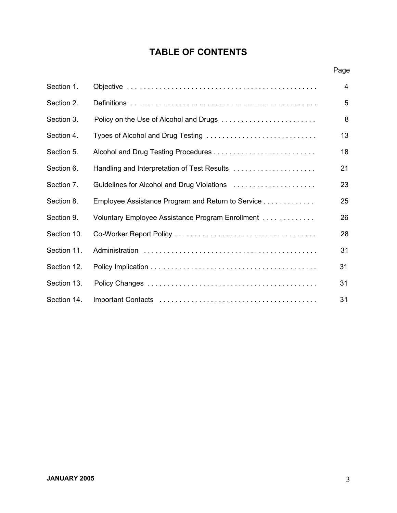# **TABLE OF CONTENTS**

|             |                                                   | Page |
|-------------|---------------------------------------------------|------|
| Section 1.  |                                                   | 4    |
| Section 2.  |                                                   | 5    |
| Section 3.  |                                                   | 8    |
| Section 4.  | Types of Alcohol and Drug Testing                 | 13   |
| Section 5.  |                                                   | 18   |
| Section 6.  | Handling and Interpretation of Test Results       | 21   |
| Section 7.  | Guidelines for Alcohol and Drug Violations        | 23   |
| Section 8.  | Employee Assistance Program and Return to Service | 25   |
| Section 9.  | Voluntary Employee Assistance Program Enrollment  | 26   |
| Section 10. |                                                   | 28   |
| Section 11. |                                                   | 31   |
| Section 12. |                                                   | 31   |
| Section 13. |                                                   | 31   |
| Section 14. |                                                   | 31   |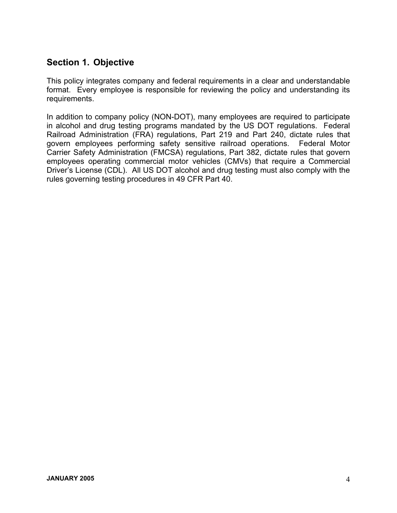# **Section 1. Objective**

This policy integrates company and federal requirements in a clear and understandable format. Every employee is responsible for reviewing the policy and understanding its requirements.

In addition to company policy (NON-DOT), many employees are required to participate in alcohol and drug testing programs mandated by the US DOT regulations. Federal Railroad Administration (FRA) regulations, Part 219 and Part 240, dictate rules that govern employees performing safety sensitive railroad operations. Federal Motor Carrier Safety Administration (FMCSA) regulations, Part 382, dictate rules that govern employees operating commercial motor vehicles (CMVs) that require a Commercial Driver's License (CDL). All US DOT alcohol and drug testing must also comply with the rules governing testing procedures in 49 CFR Part 40.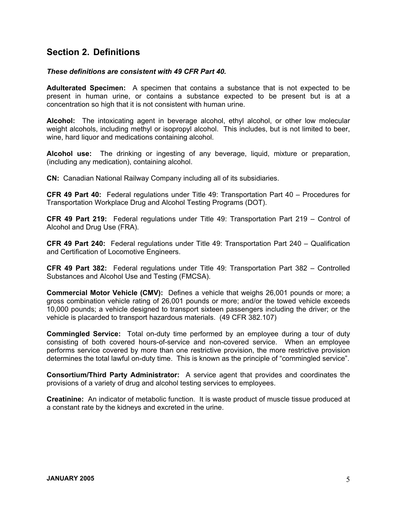# **Section 2. Definitions**

#### *These definitions are consistent with 49 CFR Part 40.*

**Adulterated Specimen:** A specimen that contains a substance that is not expected to be present in human urine, or contains a substance expected to be present but is at a concentration so high that it is not consistent with human urine.

**Alcohol:** The intoxicating agent in beverage alcohol, ethyl alcohol, or other low molecular weight alcohols, including methyl or isopropyl alcohol. This includes, but is not limited to beer, wine, hard liquor and medications containing alcohol.

**Alcohol use:** The drinking or ingesting of any beverage, liquid, mixture or preparation, (including any medication), containing alcohol.

**CN:** Canadian National Railway Company including all of its subsidiaries.

**CFR 49 Part 40:** Federal regulations under Title 49: Transportation Part 40 – Procedures for Transportation Workplace Drug and Alcohol Testing Programs (DOT).

**CFR 49 Part 219:** Federal regulations under Title 49: Transportation Part 219 – Control of Alcohol and Drug Use (FRA).

**CFR 49 Part 240:** Federal regulations under Title 49: Transportation Part 240 – Qualification and Certification of Locomotive Engineers.

**CFR 49 Part 382:** Federal regulations under Title 49: Transportation Part 382 – Controlled Substances and Alcohol Use and Testing (FMCSA).

**Commercial Motor Vehicle (CMV):** Defines a vehicle that weighs 26,001 pounds or more; a gross combination vehicle rating of 26,001 pounds or more; and/or the towed vehicle exceeds 10,000 pounds; a vehicle designed to transport sixteen passengers including the driver; or the vehicle is placarded to transport hazardous materials. (49 CFR 382.107)

**Commingled Service:** Total on-duty time performed by an employee during a tour of duty consisting of both covered hours-of-service and non-covered service. When an employee performs service covered by more than one restrictive provision, the more restrictive provision determines the total lawful on-duty time. This is known as the principle of "commingled service".

**Consortium/Third Party Administrator:** A service agent that provides and coordinates the provisions of a variety of drug and alcohol testing services to employees.

**Creatinine:** An indicator of metabolic function. It is waste product of muscle tissue produced at a constant rate by the kidneys and excreted in the urine.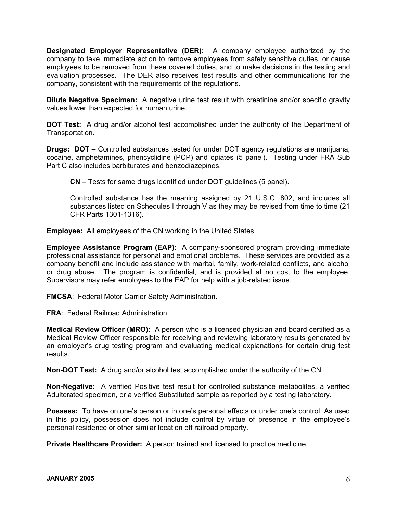**Designated Employer Representative (DER):** A company employee authorized by the company to take immediate action to remove employees from safety sensitive duties, or cause employees to be removed from these covered duties, and to make decisions in the testing and evaluation processes. The DER also receives test results and other communications for the company, consistent with the requirements of the regulations.

**Dilute Negative Specimen:** A negative urine test result with creatinine and/or specific gravity values lower than expected for human urine.

**DOT Test:** A drug and/or alcohol test accomplished under the authority of the Department of Transportation.

**Drugs: DOT** – Controlled substances tested for under DOT agency regulations are marijuana, cocaine, amphetamines, phencyclidine (PCP) and opiates (5 panel). Testing under FRA Sub Part C also includes barbiturates and benzodiazepines.

**CN** – Tests for same drugs identified under DOT guidelines (5 panel).

Controlled substance has the meaning assigned by 21 U.S.C. 802, and includes all substances listed on Schedules I through V as they may be revised from time to time (21 CFR Parts 1301-1316).

**Employee:** All employees of the CN working in the United States.

**Employee Assistance Program (EAP):** A company-sponsored program providing immediate professional assistance for personal and emotional problems. These services are provided as a company benefit and include assistance with marital, family, work-related conflicts, and alcohol or drug abuse. The program is confidential, and is provided at no cost to the employee. Supervisors may refer employees to the EAP for help with a job-related issue.

**FMCSA**: Federal Motor Carrier Safety Administration.

**FRA**: Federal Railroad Administration.

**Medical Review Officer (MRO):** A person who is a licensed physician and board certified as a Medical Review Officer responsible for receiving and reviewing laboratory results generated by an employer's drug testing program and evaluating medical explanations for certain drug test results.

**Non-DOT Test:** A drug and/or alcohol test accomplished under the authority of the CN.

**Non-Negative:** A verified Positive test result for controlled substance metabolites, a verified Adulterated specimen, or a verified Substituted sample as reported by a testing laboratory.

**Possess:** To have on one's person or in one's personal effects or under one's control. As used in this policy, possession does not include control by virtue of presence in the employee's personal residence or other similar location off railroad property.

**Private Healthcare Provider:** A person trained and licensed to practice medicine.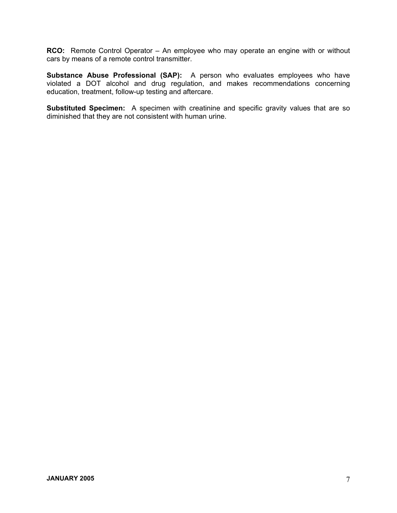**RCO:** Remote Control Operator – An employee who may operate an engine with or without cars by means of a remote control transmitter.

**Substance Abuse Professional (SAP):** A person who evaluates employees who have violated a DOT alcohol and drug regulation, and makes recommendations concerning education, treatment, follow-up testing and aftercare.

**Substituted Specimen:** A specimen with creatinine and specific gravity values that are so diminished that they are not consistent with human urine.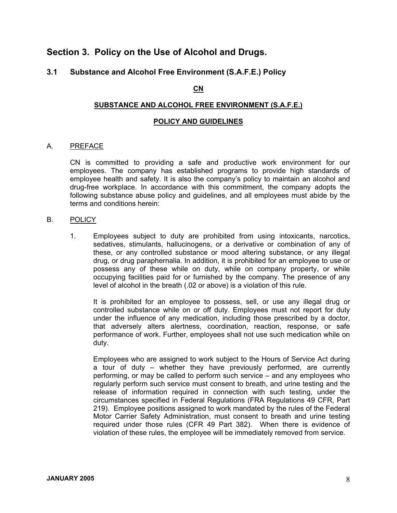# **Section 3. Policy on the Use of Alcohol and Drugs.**

### **3.1 Substance and Alcohol Free Environment (S.A.F.E.) Policy**

#### **CN**

#### **SUBSTANCE AND ALCOHOL FREE ENVIRONMENT (S.A.F.E.)**

#### **POLICY AND GUIDELINES**

#### A. PREFACE

CN is committed to providing a safe and productive work environment for our employees. The company has established programs to provide high standards of employee health and safety. It is also the company's policy to maintain an alcohol and drug-free workplace. In accordance with this commitment, the company adopts the following substance abuse policy and guidelines, and all employees must abide by the terms and conditions herein:

#### B. POLICY

1. Employees subject to duty are prohibited from using intoxicants, narcotics, sedatives, stimulants, hallucinogens, or a derivative or combination of any of these, or any controlled substance or mood altering substance, or any illegal drug, or drug paraphernalia. In addition, it is prohibited for an employee to use or possess any of these while on duty, while on company property, or while occupying facilities paid for or furnished by the company. The presence of any level of alcohol in the breath (.02 or above) is a violation of this rule.

It is prohibited for an employee to possess, sell, or use any illegal drug or controlled substance while on or off duty. Employees must not report for duty under the influence of any medication, including those prescribed by a doctor, that adversely alters alertness, coordination, reaction, response, or safe performance of work. Further, employees shall not use such medication while on duty.

Employees who are assigned to work subject to the Hours of Service Act during a tour of duty – whether they have previously performed, are currently performing, or may be called to perform such service – and any employees who regularly perform such service must consent to breath, and urine testing and the release of information required in connection with such testing, under the circumstances specified in Federal Regulations (FRA Regulations 49 CFR, Part 219). Employee positions assigned to work mandated by the rules of the Federal Motor Carrier Safety Administration, must consent to breath and urine testing required under those rules (CFR 49 Part 382). When there is evidence of violation of these rules, the employee will be immediately removed from service.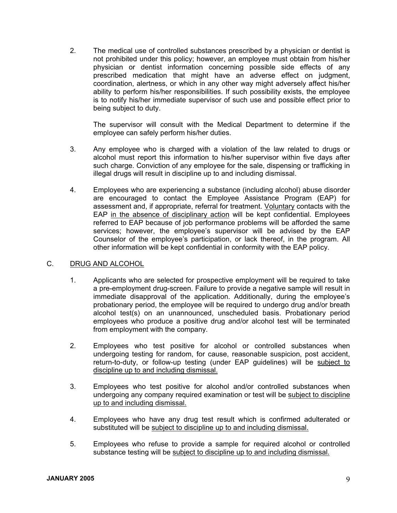2. The medical use of controlled substances prescribed by a physician or dentist is not prohibited under this policy; however, an employee must obtain from his/her physician or dentist information concerning possible side effects of any prescribed medication that might have an adverse effect on judgment, coordination, alertness, or which in any other way might adversely affect his/her ability to perform his/her responsibilities. If such possibility exists, the employee is to notify his/her immediate supervisor of such use and possible effect prior to being subject to duty.

 The supervisor will consult with the Medical Department to determine if the employee can safely perform his/her duties.

- 3. Any employee who is charged with a violation of the law related to drugs or alcohol must report this information to his/her supervisor within five days after such charge. Conviction of any employee for the sale, dispensing or trafficking in illegal drugs will result in discipline up to and including dismissal.
- 4. Employees who are experiencing a substance (including alcohol) abuse disorder are encouraged to contact the Employee Assistance Program (EAP) for assessment and, if appropriate, referral for treatment. Voluntary contacts with the EAP in the absence of disciplinary action will be kept confidential. Employees referred to EAP because of job performance problems will be afforded the same services; however, the employee's supervisor will be advised by the EAP Counselor of the employee's participation, or lack thereof, in the program. All other information will be kept confidential in conformity with the EAP policy.

#### C. DRUG AND ALCOHOL

- 1. Applicants who are selected for prospective employment will be required to take a pre-employment drug-screen. Failure to provide a negative sample will result in immediate disapproval of the application. Additionally, during the employee's probationary period, the employee will be required to undergo drug and/or breath alcohol test(s) on an unannounced, unscheduled basis. Probationary period employees who produce a positive drug and/or alcohol test will be terminated from employment with the company.
- 2. Employees who test positive for alcohol or controlled substances when undergoing testing for random, for cause, reasonable suspicion, post accident, return-to-duty, or follow-up testing (under EAP guidelines) will be subject to discipline up to and including dismissal.
- 3. Employees who test positive for alcohol and/or controlled substances when undergoing any company required examination or test will be subject to discipline up to and including dismissal.
- 4. Employees who have any drug test result which is confirmed adulterated or substituted will be subject to discipline up to and including dismissal.
- 5. Employees who refuse to provide a sample for required alcohol or controlled substance testing will be subject to discipline up to and including dismissal.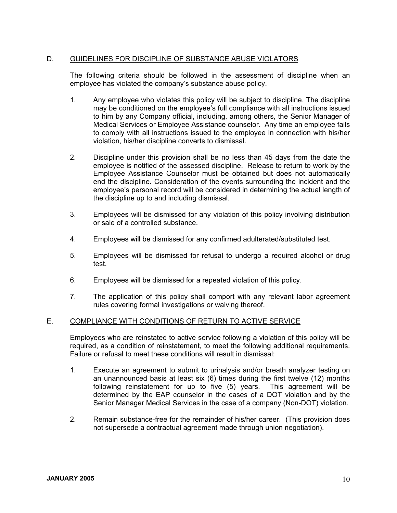#### D. GUIDELINES FOR DISCIPLINE OF SUBSTANCE ABUSE VIOLATORS

The following criteria should be followed in the assessment of discipline when an employee has violated the company's substance abuse policy.

- 1. Any employee who violates this policy will be subject to discipline. The discipline may be conditioned on the employee's full compliance with all instructions issued to him by any Company official, including, among others, the Senior Manager of Medical Services or Employee Assistance counselor. Any time an employee fails to comply with all instructions issued to the employee in connection with his/her violation, his/her discipline converts to dismissal.
- 2. Discipline under this provision shall be no less than 45 days from the date the employee is notified of the assessed discipline. Release to return to work by the Employee Assistance Counselor must be obtained but does not automatically end the discipline. Consideration of the events surrounding the incident and the employee's personal record will be considered in determining the actual length of the discipline up to and including dismissal.
- 3. Employees will be dismissed for any violation of this policy involving distribution or sale of a controlled substance.
- 4. Employees will be dismissed for any confirmed adulterated/substituted test.
- 5. Employees will be dismissed for refusal to undergo a required alcohol or drug test.
- 6. Employees will be dismissed for a repeated violation of this policy.
- 7. The application of this policy shall comport with any relevant labor agreement rules covering formal investigations or waiving thereof.

#### E. COMPLIANCE WITH CONDITIONS OF RETURN TO ACTIVE SERVICE

Employees who are reinstated to active service following a violation of this policy will be required, as a condition of reinstatement, to meet the following additional requirements. Failure or refusal to meet these conditions will result in dismissal:

- 1. Execute an agreement to submit to urinalysis and/or breath analyzer testing on an unannounced basis at least six (6) times during the first twelve (12) months following reinstatement for up to five (5) years. This agreement will be determined by the EAP counselor in the cases of a DOT violation and by the Senior Manager Medical Services in the case of a company (Non-DOT) violation.
- 2. Remain substance-free for the remainder of his/her career. (This provision does not supersede a contractual agreement made through union negotiation).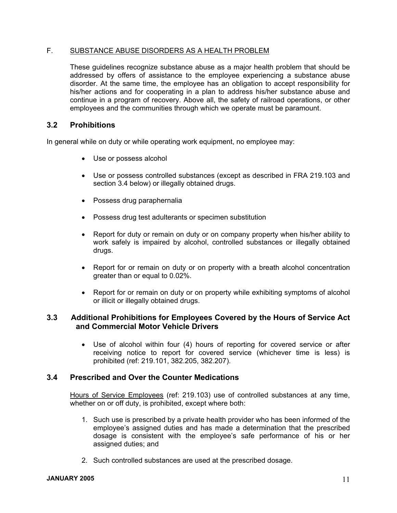#### F. SUBSTANCE ABUSE DISORDERS AS A HEALTH PROBLEM

These guidelines recognize substance abuse as a major health problem that should be addressed by offers of assistance to the employee experiencing a substance abuse disorder. At the same time, the employee has an obligation to accept responsibility for his/her actions and for cooperating in a plan to address his/her substance abuse and continue in a program of recovery. Above all, the safety of railroad operations, or other employees and the communities through which we operate must be paramount.

#### **3.2 Prohibitions**

In general while on duty or while operating work equipment, no employee may:

- Use or possess alcohol
- Use or possess controlled substances (except as described in FRA 219.103 and section 3.4 below) or illegally obtained drugs.
- Possess drug paraphernalia
- Possess drug test adulterants or specimen substitution
- Report for duty or remain on duty or on company property when his/her ability to work safely is impaired by alcohol, controlled substances or illegally obtained drugs.
- Report for or remain on duty or on property with a breath alcohol concentration greater than or equal to 0.02%.
- Report for or remain on duty or on property while exhibiting symptoms of alcohol or illicit or illegally obtained drugs.

#### **3.3 Additional Prohibitions for Employees Covered by the Hours of Service Act and Commercial Motor Vehicle Drivers**

• Use of alcohol within four (4) hours of reporting for covered service or after receiving notice to report for covered service (whichever time is less) is prohibited (ref: 219.101, 382.205, 382.207).

#### **3.4 Prescribed and Over the Counter Medications**

Hours of Service Employees (ref: 219.103) use of controlled substances at any time, whether on or off duty, is prohibited, except where both:

- 1. Such use is prescribed by a private health provider who has been informed of the employee's assigned duties and has made a determination that the prescribed dosage is consistent with the employee's safe performance of his or her assigned duties; and
- 2. Such controlled substances are used at the prescribed dosage.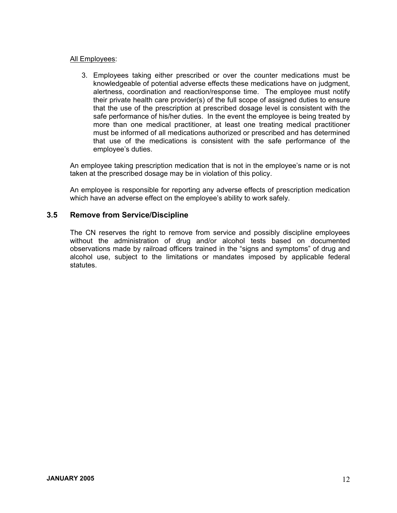#### All Employees:

 3. Employees taking either prescribed or over the counter medications must be knowledgeable of potential adverse effects these medications have on judgment, alertness, coordination and reaction/response time. The employee must notify their private health care provider(s) of the full scope of assigned duties to ensure that the use of the prescription at prescribed dosage level is consistent with the safe performance of his/her duties. In the event the employee is being treated by more than one medical practitioner, at least one treating medical practitioner must be informed of all medications authorized or prescribed and has determined that use of the medications is consistent with the safe performance of the employee's duties.

 An employee taking prescription medication that is not in the employee's name or is not taken at the prescribed dosage may be in violation of this policy.

 An employee is responsible for reporting any adverse effects of prescription medication which have an adverse effect on the employee's ability to work safely.

#### **3.5 Remove from Service/Discipline**

 The CN reserves the right to remove from service and possibly discipline employees without the administration of drug and/or alcohol tests based on documented observations made by railroad officers trained in the "signs and symptoms" of drug and alcohol use, subject to the limitations or mandates imposed by applicable federal statutes.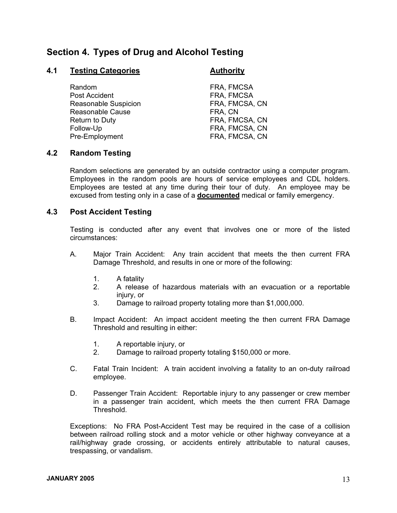# **Section 4. Types of Drug and Alcohol Testing**

#### **4.1** Testing Categories **Authority**

- Random **FRA, FMCSA** Post Accident FRA, FMCSA Reasonable Suspicion FRA, FMCSA, CN Reasonable Cause **FRA**, CN Return to Duty **FRA, FMCSA, CN** Follow-Up **FRA, FMCSA, CN** Pre-Employment **FRA, FMCSA, CN** 
	-

#### **4.2 Random Testing**

Random selections are generated by an outside contractor using a computer program. Employees in the random pools are hours of service employees and CDL holders. Employees are tested at any time during their tour of duty. An employee may be excused from testing only in a case of a **documented** medical or family emergency.

#### **4.3 Post Accident Testing**

 Testing is conducted after any event that involves one or more of the listed circumstances:

- A. Major Train Accident: Any train accident that meets the then current FRA Damage Threshold, and results in one or more of the following:
	- 1. A fatality
	- 2. A release of hazardous materials with an evacuation or a reportable injury, or
	- 3. Damage to railroad property totaling more than \$1,000,000.
- B. Impact Accident: An impact accident meeting the then current FRA Damage Threshold and resulting in either:
	- 1. A reportable injury, or
	- 2. Damage to railroad property totaling \$150,000 or more.
- C. Fatal Train Incident: A train accident involving a fatality to an on-duty railroad employee.
- D. Passenger Train Accident: Reportable injury to any passenger or crew member in a passenger train accident, which meets the then current FRA Damage Threshold.

 Exceptions: No FRA Post-Accident Test may be required in the case of a collision between railroad rolling stock and a motor vehicle or other highway conveyance at a rail/highway grade crossing, or accidents entirely attributable to natural causes, trespassing, or vandalism.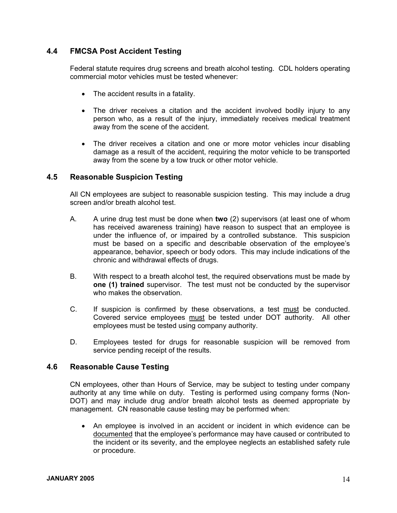### **4.4 FMCSA Post Accident Testing**

Federal statute requires drug screens and breath alcohol testing. CDL holders operating commercial motor vehicles must be tested whenever:

- The accident results in a fatality.
- The driver receives a citation and the accident involved bodily injury to any person who, as a result of the injury, immediately receives medical treatment away from the scene of the accident.
- The driver receives a citation and one or more motor vehicles incur disabling damage as a result of the accident, requiring the motor vehicle to be transported away from the scene by a tow truck or other motor vehicle.

#### **4.5 Reasonable Suspicion Testing**

All CN employees are subject to reasonable suspicion testing. This may include a drug screen and/or breath alcohol test.

- A. A urine drug test must be done when **two** (2) supervisors (at least one of whom has received awareness training) have reason to suspect that an employee is under the influence of, or impaired by a controlled substance. This suspicion must be based on a specific and describable observation of the employee's appearance, behavior, speech or body odors. This may include indications of the chronic and withdrawal effects of drugs.
- B. With respect to a breath alcohol test, the required observations must be made by **one (1) trained** supervisor. The test must not be conducted by the supervisor who makes the observation.
- C. If suspicion is confirmed by these observations, a test must be conducted. Covered service employees must be tested under DOT authority. All other employees must be tested using company authority.
- D. Employees tested for drugs for reasonable suspicion will be removed from service pending receipt of the results.

#### **4.6 Reasonable Cause Testing**

CN employees, other than Hours of Service, may be subject to testing under company authority at any time while on duty. Testing is performed using company forms (Non-DOT) and may include drug and/or breath alcohol tests as deemed appropriate by management. CN reasonable cause testing may be performed when:

• An employee is involved in an accident or incident in which evidence can be documented that the employee's performance may have caused or contributed to the incident or its severity, and the employee neglects an established safety rule or procedure.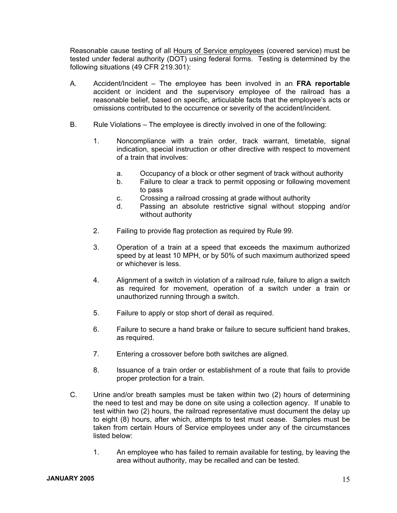Reasonable cause testing of all Hours of Service employees (covered service) must be tested under federal authority (DOT) using federal forms. Testing is determined by the following situations (49 CFR 219.301):

- A. Accident/Incident The employee has been involved in an **FRA reportable** accident or incident and the supervisory employee of the railroad has a reasonable belief, based on specific, articulable facts that the employee's acts or omissions contributed to the occurrence or severity of the accident/incident.
- B. Rule Violations The employee is directly involved in one of the following:
	- 1. Noncompliance with a train order, track warrant, timetable, signal indication, special instruction or other directive with respect to movement of a train that involves:
		- a. Occupancy of a block or other segment of track without authority
		- b. Failure to clear a track to permit opposing or following movement to pass
		- c. Crossing a railroad crossing at grade without authority
		- d. Passing an absolute restrictive signal without stopping and/or without authority
	- 2. Failing to provide flag protection as required by Rule 99.
	- 3. Operation of a train at a speed that exceeds the maximum authorized speed by at least 10 MPH, or by 50% of such maximum authorized speed or whichever is less.
	- 4. Alignment of a switch in violation of a railroad rule, failure to align a switch as required for movement, operation of a switch under a train or unauthorized running through a switch.
	- 5. Failure to apply or stop short of derail as required.
	- 6. Failure to secure a hand brake or failure to secure sufficient hand brakes, as required.
	- 7. Entering a crossover before both switches are aligned.
	- 8. Issuance of a train order or establishment of a route that fails to provide proper protection for a train.
- C. Urine and/or breath samples must be taken within two (2) hours of determining the need to test and may be done on site using a collection agency. If unable to test within two (2) hours, the railroad representative must document the delay up to eight (8) hours, after which, attempts to test must cease. Samples must be taken from certain Hours of Service employees under any of the circumstances listed below:
	- 1. An employee who has failed to remain available for testing, by leaving the area without authority, may be recalled and can be tested.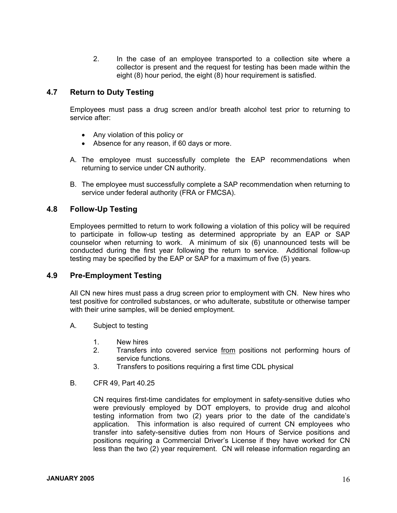2. In the case of an employee transported to a collection site where a collector is present and the request for testing has been made within the eight (8) hour period, the eight (8) hour requirement is satisfied.

#### **4.7 Return to Duty Testing**

 Employees must pass a drug screen and/or breath alcohol test prior to returning to service after:

- Any violation of this policy or
- Absence for any reason, if 60 days or more.
- A. The employee must successfully complete the EAP recommendations when returning to service under CN authority.
- B. The employee must successfully complete a SAP recommendation when returning to service under federal authority (FRA or FMCSA).

#### **4.8 Follow-Up Testing**

Employees permitted to return to work following a violation of this policy will be required to participate in follow-up testing as determined appropriate by an EAP or SAP counselor when returning to work. A minimum of six (6) unannounced tests will be conducted during the first year following the return to service. Additional follow-up testing may be specified by the EAP or SAP for a maximum of five (5) years.

#### **4.9 Pre-Employment Testing**

All CN new hires must pass a drug screen prior to employment with CN. New hires who test positive for controlled substances, or who adulterate, substitute or otherwise tamper with their urine samples, will be denied employment.

- A. Subject to testing
	- 1. New hires
	- 2. Transfers into covered service from positions not performing hours of service functions.
	- 3. Transfers to positions requiring a first time CDL physical
- B. CFR 49, Part 40.25

CN requires first-time candidates for employment in safety-sensitive duties who were previously employed by DOT employers, to provide drug and alcohol testing information from two (2) years prior to the date of the candidate's application. This information is also required of current CN employees who transfer into safety-sensitive duties from non Hours of Service positions and positions requiring a Commercial Driver's License if they have worked for CN less than the two (2) year requirement. CN will release information regarding an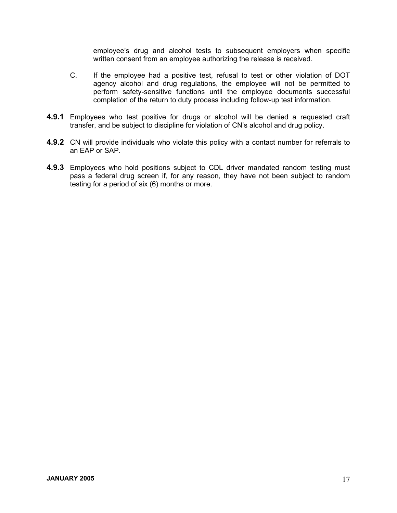employee's drug and alcohol tests to subsequent employers when specific written consent from an employee authorizing the release is received.

- C. If the employee had a positive test, refusal to test or other violation of DOT agency alcohol and drug regulations, the employee will not be permitted to perform safety-sensitive functions until the employee documents successful completion of the return to duty process including follow-up test information.
- **4.9.1** Employees who test positive for drugs or alcohol will be denied a requested craft transfer, and be subject to discipline for violation of CN's alcohol and drug policy.
- **4.9.2** CN will provide individuals who violate this policy with a contact number for referrals to an EAP or SAP.
- **4.9.3** Employees who hold positions subject to CDL driver mandated random testing must pass a federal drug screen if, for any reason, they have not been subject to random testing for a period of six (6) months or more.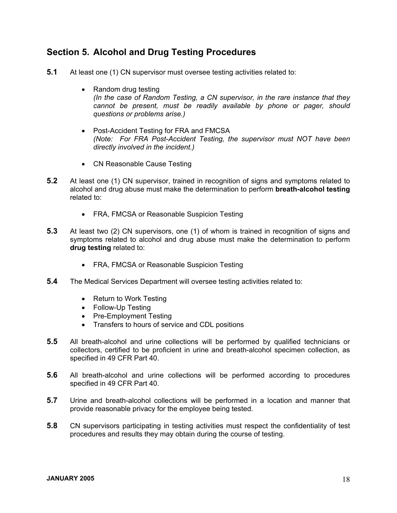# **Section 5. Alcohol and Drug Testing Procedures**

- **5.1** At least one (1) CN supervisor must oversee testing activities related to:
	- Random drug testing *(In the case of Random Testing, a CN supervisor, in the rare instance that they cannot be present, must be readily available by phone or pager, should questions or problems arise.)*
	- Post-Accident Testing for FRA and FMCSA *(Note: For FRA Post-Accident Testing, the supervisor must NOT have been directly involved in the incident.)*
	- CN Reasonable Cause Testing
- **5.2** At least one (1) CN supervisor, trained in recognition of signs and symptoms related to alcohol and drug abuse must make the determination to perform **breath-alcohol testing** related to:
	- FRA, FMCSA or Reasonable Suspicion Testing
- **5.3** At least two (2) CN supervisors, one (1) of whom is trained in recognition of signs and symptoms related to alcohol and drug abuse must make the determination to perform **drug testing** related to:
	- FRA, FMCSA or Reasonable Suspicion Testing
- **5.4** The Medical Services Department will oversee testing activities related to:
	- Return to Work Testing
	- Follow-Up Testing
	- Pre-Employment Testing
	- Transfers to hours of service and CDL positions
- **5.5** All breath-alcohol and urine collections will be performed by qualified technicians or collectors, certified to be proficient in urine and breath-alcohol specimen collection, as specified in 49 CFR Part 40.
- **5.6** All breath-alcohol and urine collections will be performed according to procedures specified in 49 CFR Part 40.
- **5.7** Urine and breath-alcohol collections will be performed in a location and manner that provide reasonable privacy for the employee being tested.
- **5.8** CN supervisors participating in testing activities must respect the confidentiality of test procedures and results they may obtain during the course of testing.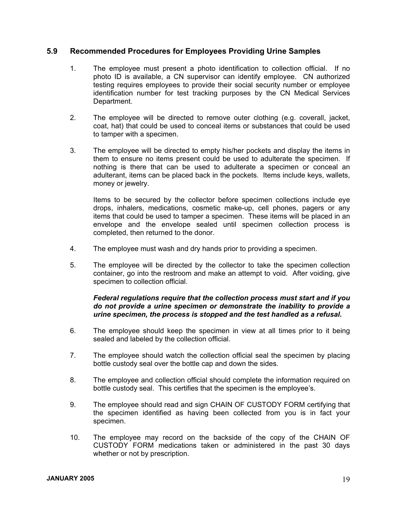#### **5.9 Recommended Procedures for Employees Providing Urine Samples**

- 1. The employee must present a photo identification to collection official. If no photo ID is available, a CN supervisor can identify employee. CN authorized testing requires employees to provide their social security number or employee identification number for test tracking purposes by the CN Medical Services Department.
- 2. The employee will be directed to remove outer clothing (e.g. coverall, jacket, coat, hat) that could be used to conceal items or substances that could be used to tamper with a specimen.
- 3. The employee will be directed to empty his/her pockets and display the items in them to ensure no items present could be used to adulterate the specimen. If nothing is there that can be used to adulterate a specimen or conceal an adulterant, items can be placed back in the pockets. Items include keys, wallets, money or jewelry.

 Items to be secured by the collector before specimen collections include eye drops, inhalers, medications, cosmetic make-up, cell phones, pagers or any items that could be used to tamper a specimen. These items will be placed in an envelope and the envelope sealed until specimen collection process is completed, then returned to the donor.

- 4. The employee must wash and dry hands prior to providing a specimen.
- 5. The employee will be directed by the collector to take the specimen collection container, go into the restroom and make an attempt to void. After voiding, give specimen to collection official.

#### *Federal regulations require that the collection process must start and if you do not provide a urine specimen or demonstrate the inability to provide a urine specimen, the process is stopped and the test handled as a refusal.*

- 6. The employee should keep the specimen in view at all times prior to it being sealed and labeled by the collection official.
- 7. The employee should watch the collection official seal the specimen by placing bottle custody seal over the bottle cap and down the sides.
- 8. The employee and collection official should complete the information required on bottle custody seal. This certifies that the specimen is the employee's.
- 9. The employee should read and sign CHAIN OF CUSTODY FORM certifying that the specimen identified as having been collected from you is in fact your specimen.
- 10. The employee may record on the backside of the copy of the CHAIN OF CUSTODY FORM medications taken or administered in the past 30 days whether or not by prescription.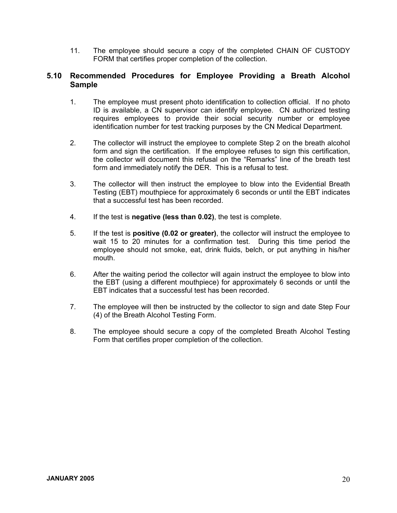11. The employee should secure a copy of the completed CHAIN OF CUSTODY FORM that certifies proper completion of the collection.

#### **5.10 Recommended Procedures for Employee Providing a Breath Alcohol Sample**

- 1. The employee must present photo identification to collection official. If no photo ID is available, a CN supervisor can identify employee. CN authorized testing requires employees to provide their social security number or employee identification number for test tracking purposes by the CN Medical Department.
- 2. The collector will instruct the employee to complete Step 2 on the breath alcohol form and sign the certification. If the employee refuses to sign this certification, the collector will document this refusal on the "Remarks" line of the breath test form and immediately notify the DER. This is a refusal to test.
- 3. The collector will then instruct the employee to blow into the Evidential Breath Testing (EBT) mouthpiece for approximately 6 seconds or until the EBT indicates that a successful test has been recorded.
- 4. If the test is **negative (less than 0.02)**, the test is complete.
- 5. If the test is **positive (0.02 or greater)**, the collector will instruct the employee to wait 15 to 20 minutes for a confirmation test. During this time period the employee should not smoke, eat, drink fluids, belch, or put anything in his/her mouth.
- 6. After the waiting period the collector will again instruct the employee to blow into the EBT (using a different mouthpiece) for approximately 6 seconds or until the EBT indicates that a successful test has been recorded.
- 7. The employee will then be instructed by the collector to sign and date Step Four (4) of the Breath Alcohol Testing Form.
- 8. The employee should secure a copy of the completed Breath Alcohol Testing Form that certifies proper completion of the collection.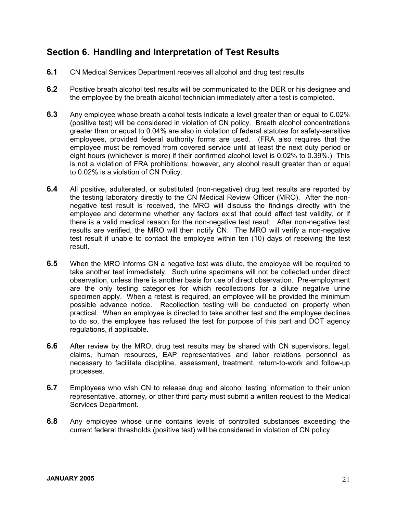# **Section 6. Handling and Interpretation of Test Results**

- **6.1** CN Medical Services Department receives all alcohol and drug test results
- **6.2** Positive breath alcohol test results will be communicated to the DER or his designee and the employee by the breath alcohol technician immediately after a test is completed.
- **6.3** Any employee whose breath alcohol tests indicate a level greater than or equal to 0.02% (positive test) will be considered in violation of CN policy. Breath alcohol concentrations greater than or equal to 0.04% are also in violation of federal statutes for safety-sensitive employees, provided federal authority forms are used. (FRA also requires that the employee must be removed from covered service until at least the next duty period or eight hours (whichever is more) if their confirmed alcohol level is 0.02% to 0.39%.) This is not a violation of FRA prohibitions; however, any alcohol result greater than or equal to 0.02% is a violation of CN Policy.
- **6.4** All positive, adulterated, or substituted (non-negative) drug test results are reported by the testing laboratory directly to the CN Medical Review Officer (MRO). After the nonnegative test result is received, the MRO will discuss the findings directly with the employee and determine whether any factors exist that could affect test validity, or if there is a valid medical reason for the non-negative test result. After non-negative test results are verified, the MRO will then notify CN. The MRO will verify a non-negative test result if unable to contact the employee within ten (10) days of receiving the test result.
- **6.5** When the MRO informs CN a negative test was dilute, the employee will be required to take another test immediately. Such urine specimens will not be collected under direct observation, unless there is another basis for use of direct observation. Pre-employment are the only testing categories for which recollections for a dilute negative urine specimen apply. When a retest is required, an employee will be provided the minimum possible advance notice. Recollection testing will be conducted on property when practical. When an employee is directed to take another test and the employee declines to do so, the employee has refused the test for purpose of this part and DOT agency regulations, if applicable.
- **6.6** After review by the MRO, drug test results may be shared with CN supervisors, legal, claims, human resources, EAP representatives and labor relations personnel as necessary to facilitate discipline, assessment, treatment, return-to-work and follow-up processes.
- **6.7** Employees who wish CN to release drug and alcohol testing information to their union representative, attorney, or other third party must submit a written request to the Medical Services Department.
- **6.8** Any employee whose urine contains levels of controlled substances exceeding the current federal thresholds (positive test) will be considered in violation of CN policy.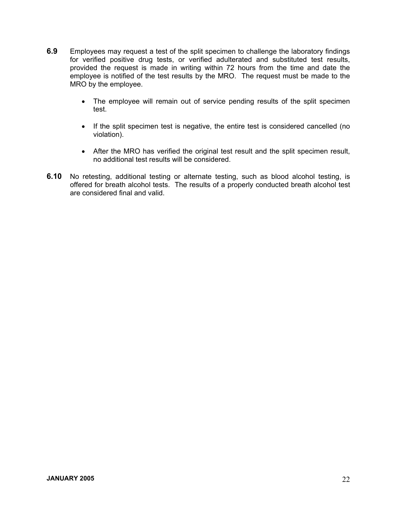- **6.9** Employees may request a test of the split specimen to challenge the laboratory findings for verified positive drug tests, or verified adulterated and substituted test results, provided the request is made in writing within 72 hours from the time and date the employee is notified of the test results by the MRO. The request must be made to the MRO by the employee.
	- The employee will remain out of service pending results of the split specimen test.
	- If the split specimen test is negative, the entire test is considered cancelled (no violation).
	- After the MRO has verified the original test result and the split specimen result, no additional test results will be considered.
- **6.10** No retesting, additional testing or alternate testing, such as blood alcohol testing, is offered for breath alcohol tests. The results of a properly conducted breath alcohol test are considered final and valid.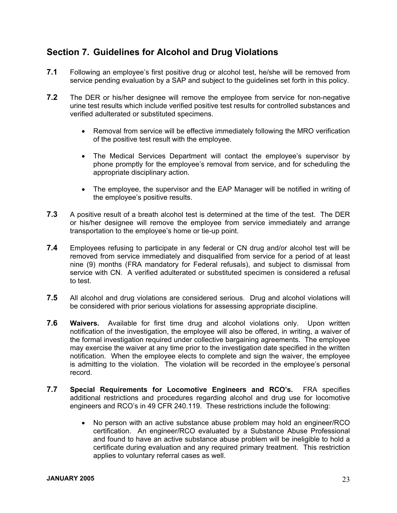# **Section 7. Guidelines for Alcohol and Drug Violations**

- **7.1** Following an employee's first positive drug or alcohol test, he/she will be removed from service pending evaluation by a SAP and subject to the guidelines set forth in this policy.
- **7.2** The DER or his/her designee will remove the employee from service for non-negative urine test results which include verified positive test results for controlled substances and verified adulterated or substituted specimens.
	- Removal from service will be effective immediately following the MRO verification of the positive test result with the employee.
	- The Medical Services Department will contact the employee's supervisor by phone promptly for the employee's removal from service, and for scheduling the appropriate disciplinary action.
	- The employee, the supervisor and the EAP Manager will be notified in writing of the employee's positive results.
- **7.3** A positive result of a breath alcohol test is determined at the time of the test. The DER or his/her designee will remove the employee from service immediately and arrange transportation to the employee's home or tie-up point.
- **7.4** Employees refusing to participate in any federal or CN drug and/or alcohol test will be removed from service immediately and disqualified from service for a period of at least nine (9) months (FRA mandatory for Federal refusals), and subject to dismissal from service with CN. A verified adulterated or substituted specimen is considered a refusal to test.
- **7.5** All alcohol and drug violations are considered serious. Drug and alcohol violations will be considered with prior serious violations for assessing appropriate discipline.
- **7.6 Waivers.** Available for first time drug and alcohol violations only. Upon written notification of the investigation, the employee will also be offered, in writing, a waiver of the formal investigation required under collective bargaining agreements. The employee may exercise the waiver at any time prior to the investigation date specified in the written notification. When the employee elects to complete and sign the waiver, the employee is admitting to the violation. The violation will be recorded in the employee's personal record.
- **7.7 Special Requirements for Locomotive Engineers and RCO's.** FRA specifies additional restrictions and procedures regarding alcohol and drug use for locomotive engineers and RCO's in 49 CFR 240.119. These restrictions include the following:
	- No person with an active substance abuse problem may hold an engineer/RCO certification. An engineer/RCO evaluated by a Substance Abuse Professional and found to have an active substance abuse problem will be ineligible to hold a certificate during evaluation and any required primary treatment. This restriction applies to voluntary referral cases as well.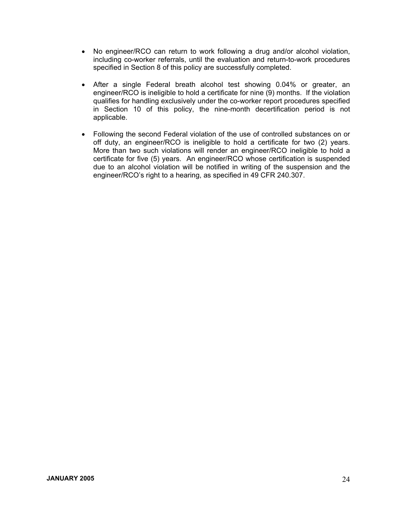- No engineer/RCO can return to work following a drug and/or alcohol violation, including co-worker referrals, until the evaluation and return-to-work procedures specified in Section 8 of this policy are successfully completed.
- After a single Federal breath alcohol test showing 0.04% or greater, an engineer/RCO is ineligible to hold a certificate for nine (9) months. If the violation qualifies for handling exclusively under the co-worker report procedures specified in Section 10 of this policy, the nine-month decertification period is not applicable.
- Following the second Federal violation of the use of controlled substances on or off duty, an engineer/RCO is ineligible to hold a certificate for two (2) years. More than two such violations will render an engineer/RCO ineligible to hold a certificate for five (5) years. An engineer/RCO whose certification is suspended due to an alcohol violation will be notified in writing of the suspension and the engineer/RCO's right to a hearing, as specified in 49 CFR 240.307.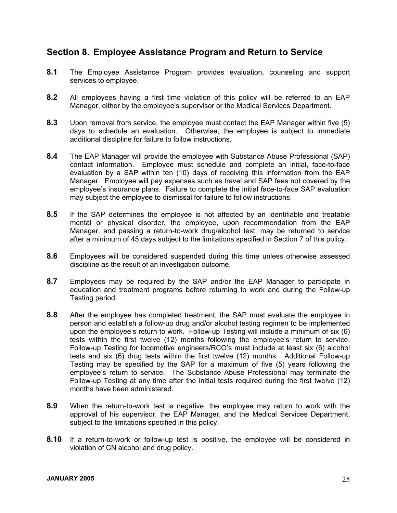# **Section 8. Employee Assistance Program and Return to Service**

- **8.1** The Employee Assistance Program provides evaluation, counseling and support services to employee.
- **8.2** All employees having a first time violation of this policy will be referred to an EAP Manager, either by the employee's supervisor or the Medical Services Department.
- **8.3** Upon removal from service, the employee must contact the EAP Manager within five (5) days to schedule an evaluation. Otherwise, the employee is subject to immediate additional discipline for failure to follow instructions.
- **8.4** The EAP Manager will provide the employee with Substance Abuse Professional (SAP) contact information. Employee must schedule and complete an initial, face-to-face evaluation by a SAP within ten (10) days of receiving this information from the EAP Manager. Employee will pay expenses such as travel and SAP fees not covered by the employee's insurance plans. Failure to complete the initial face-to-face SAP evaluation may subject the employee to dismissal for failure to follow instructions.
- **8.5** If the SAP determines the employee is not affected by an identifiable and treatable mental or physical disorder, the employee, upon recommendation from the EAP Manager, and passing a return-to-work drug/alcohol test, may be returned to service after a minimum of 45 days subject to the limitations specified in Section 7 of this policy.
- **8.6** Employees will be considered suspended during this time unless otherwise assessed discipline as the result of an investigation outcome.
- **8.7** Employees may be required by the SAP and/or the EAP Manager to participate in education and treatment programs before returning to work and during the Follow-up Testing period.
- **8.8** After the employee has completed treatment, the SAP must evaluate the employee in person and establish a follow-up drug and/or alcohol testing regimen to be implemented upon the employee's return to work. Follow-up Testing will include a minimum of six (6) tests within the first twelve (12) months following the employee's return to service. Follow-up Testing for locomotive engineers/RCO's must include at least six (6) alcohol tests and six (6) drug tests within the first twelve (12) months. Additional Follow-up Testing may be specified by the SAP for a maximum of five (5) years following the employee's return to service. The Substance Abuse Professional may terminate the Follow-up Testing at any time after the initial tests required during the first twelve (12) months have been administered.
- **8.9** When the return-to-work test is negative, the employee may return to work with the approval of his supervisor, the EAP Manager, and the Medical Services Department, subject to the limitations specified in this policy.
- **8.10** If a return-to-work or follow-up test is positive, the employee will be considered in violation of CN alcohol and drug policy.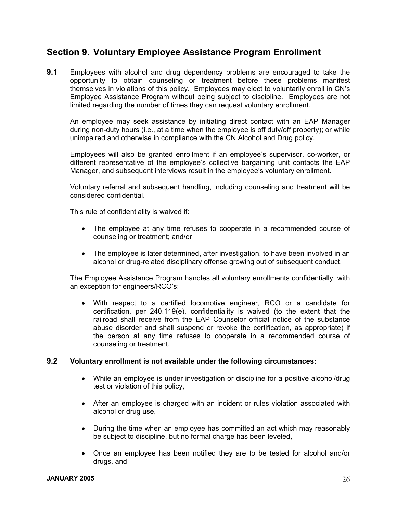# **Section 9. Voluntary Employee Assistance Program Enrollment**

**9.1** Employees with alcohol and drug dependency problems are encouraged to take the opportunity to obtain counseling or treatment before these problems manifest themselves in violations of this policy. Employees may elect to voluntarily enroll in CN's Employee Assistance Program without being subject to discipline. Employees are not limited regarding the number of times they can request voluntary enrollment.

 An employee may seek assistance by initiating direct contact with an EAP Manager during non-duty hours (i.e., at a time when the employee is off duty/off property); or while unimpaired and otherwise in compliance with the CN Alcohol and Drug policy.

 Employees will also be granted enrollment if an employee's supervisor, co-worker, or different representative of the employee's collective bargaining unit contacts the EAP Manager, and subsequent interviews result in the employee's voluntary enrollment.

 Voluntary referral and subsequent handling, including counseling and treatment will be considered confidential.

This rule of confidentiality is waived if:

- The employee at any time refuses to cooperate in a recommended course of counseling or treatment; and/or
- The employee is later determined, after investigation, to have been involved in an alcohol or drug-related disciplinary offense growing out of subsequent conduct.

The Employee Assistance Program handles all voluntary enrollments confidentially, with an exception for engineers/RCO's:

• With respect to a certified locomotive engineer, RCO or a candidate for certification, per 240.119(e), confidentiality is waived (to the extent that the railroad shall receive from the EAP Counselor official notice of the substance abuse disorder and shall suspend or revoke the certification, as appropriate) if the person at any time refuses to cooperate in a recommended course of counseling or treatment.

#### **9.2 Voluntary enrollment is not available under the following circumstances:**

- While an employee is under investigation or discipline for a positive alcohol/drug test or violation of this policy,
- After an employee is charged with an incident or rules violation associated with alcohol or drug use,
- During the time when an employee has committed an act which may reasonably be subject to discipline, but no formal charge has been leveled,
- Once an employee has been notified they are to be tested for alcohol and/or drugs, and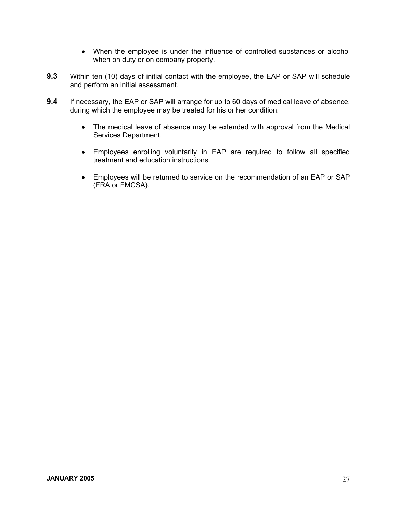- When the employee is under the influence of controlled substances or alcohol when on duty or on company property.
- **9.3** Within ten (10) days of initial contact with the employee, the EAP or SAP will schedule and perform an initial assessment.
- **9.4** If necessary, the EAP or SAP will arrange for up to 60 days of medical leave of absence, during which the employee may be treated for his or her condition.
	- The medical leave of absence may be extended with approval from the Medical Services Department.
	- Employees enrolling voluntarily in EAP are required to follow all specified treatment and education instructions.
	- Employees will be returned to service on the recommendation of an EAP or SAP (FRA or FMCSA).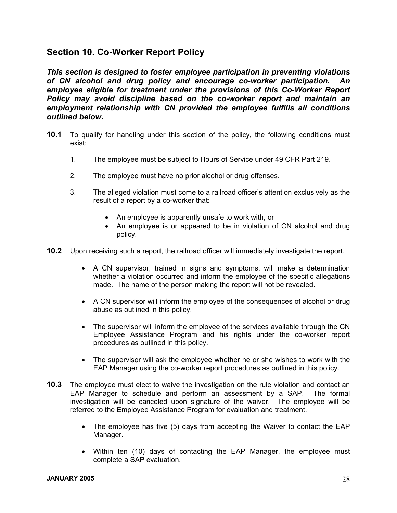# **Section 10. Co-Worker Report Policy**

*This section is designed to foster employee participation in preventing violations of CN alcohol and drug policy and encourage co-worker participation. An*  employee eligible for treatment under the provisions of this Co-Worker Report *Policy may avoid discipline based on the co-worker report and maintain an employment relationship with CN provided the employee fulfills all conditions outlined below.* 

- **10.1** To qualify for handling under this section of the policy, the following conditions must exist:
	- 1. The employee must be subject to Hours of Service under 49 CFR Part 219.
	- 2. The employee must have no prior alcohol or drug offenses.
	- 3. The alleged violation must come to a railroad officer's attention exclusively as the result of a report by a co-worker that:
		- An employee is apparently unsafe to work with, or
		- An employee is or appeared to be in violation of CN alcohol and drug policy.
- **10.2** Upon receiving such a report, the railroad officer will immediately investigate the report.
	- A CN supervisor, trained in signs and symptoms, will make a determination whether a violation occurred and inform the employee of the specific allegations made. The name of the person making the report will not be revealed.
	- A CN supervisor will inform the employee of the consequences of alcohol or drug abuse as outlined in this policy.
	- The supervisor will inform the employee of the services available through the CN Employee Assistance Program and his rights under the co-worker report procedures as outlined in this policy.
	- The supervisor will ask the employee whether he or she wishes to work with the EAP Manager using the co-worker report procedures as outlined in this policy.
- **10.3** The employee must elect to waive the investigation on the rule violation and contact an EAP Manager to schedule and perform an assessment by a SAP. The formal investigation will be canceled upon signature of the waiver. The employee will be referred to the Employee Assistance Program for evaluation and treatment.
	- The employee has five (5) days from accepting the Waiver to contact the EAP Manager.
	- Within ten (10) days of contacting the EAP Manager, the employee must complete a SAP evaluation.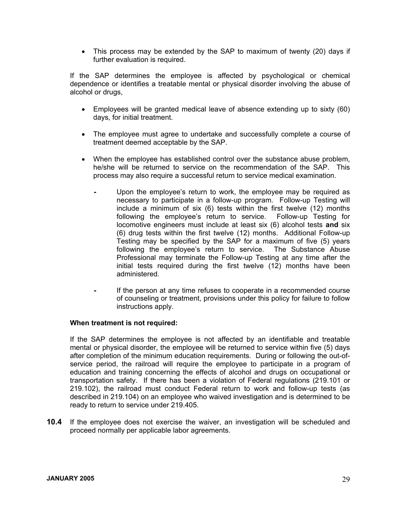• This process may be extended by the SAP to maximum of twenty (20) days if further evaluation is required.

If the SAP determines the employee is affected by psychological or chemical dependence or identifies a treatable mental or physical disorder involving the abuse of alcohol or drugs,

- Employees will be granted medical leave of absence extending up to sixty (60) days, for initial treatment.
- The employee must agree to undertake and successfully complete a course of treatment deemed acceptable by the SAP.
- When the employee has established control over the substance abuse problem, he/she will be returned to service on the recommendation of the SAP. This process may also require a successful return to service medical examination.
	- Upon the employee's return to work, the employee may be required as necessary to participate in a follow-up program. Follow-up Testing will include a minimum of six (6) tests within the first twelve (12) months following the employee's return to service. Follow-up Testing for locomotive engineers must include at least six (6) alcohol tests **and** six (6) drug tests within the first twelve (12) months. Additional Follow-up Testing may be specified by the SAP for a maximum of five (5) years following the employee's return to service. The Substance Abuse Professional may terminate the Follow-up Testing at any time after the initial tests required during the first twelve (12) months have been administered.
	- If the person at any time refuses to cooperate in a recommended course of counseling or treatment, provisions under this policy for failure to follow instructions apply.

#### **When treatment is not required:**

If the SAP determines the employee is not affected by an identifiable and treatable mental or physical disorder, the employee will be returned to service within five (5) days after completion of the minimum education requirements. During or following the out-ofservice period, the railroad will require the employee to participate in a program of education and training concerning the effects of alcohol and drugs on occupational or transportation safety. If there has been a violation of Federal regulations (219.101 or 219.102), the railroad must conduct Federal return to work and follow-up tests (as described in 219.104) on an employee who waived investigation and is determined to be ready to return to service under 219.405.

**10.4** If the employee does not exercise the waiver, an investigation will be scheduled and proceed normally per applicable labor agreements.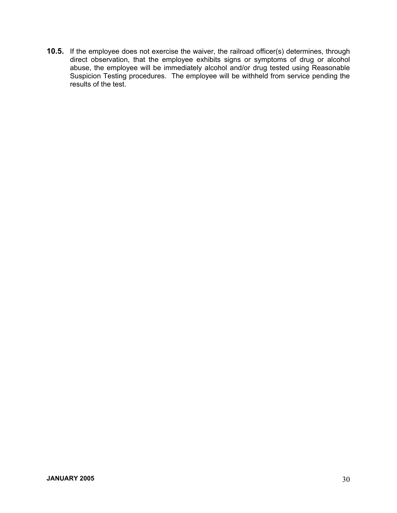**10.5.** If the employee does not exercise the waiver, the railroad officer(s) determines, through direct observation, that the employee exhibits signs or symptoms of drug or alcohol abuse, the employee will be immediately alcohol and/or drug tested using Reasonable Suspicion Testing procedures. The employee will be withheld from service pending the results of the test.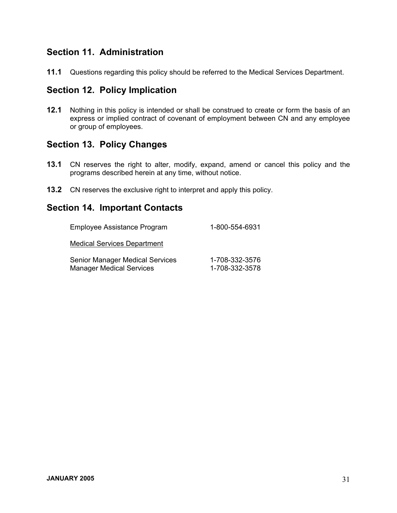# **Section 11. Administration**

**11.1** Questions regarding this policy should be referred to the Medical Services Department.

# **Section 12. Policy Implication**

**12.1** Nothing in this policy is intended or shall be construed to create or form the basis of an express or implied contract of covenant of employment between CN and any employee or group of employees.

## **Section 13. Policy Changes**

- **13.1** CN reserves the right to alter, modify, expand, amend or cancel this policy and the programs described herein at any time, without notice.
- **13.2** CN reserves the exclusive right to interpret and apply this policy.

# **Section 14. Important Contacts**

| Employee Assistance Program                                               | 1-800-554-6931                   |
|---------------------------------------------------------------------------|----------------------------------|
| <b>Medical Services Department</b>                                        |                                  |
| <b>Senior Manager Medical Services</b><br><b>Manager Medical Services</b> | 1-708-332-3576<br>1-708-332-3578 |